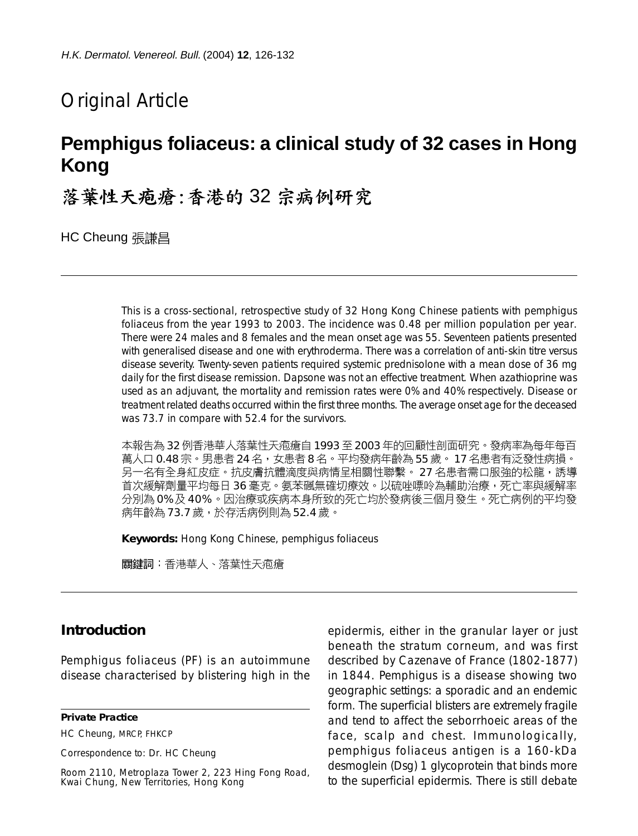# Original Article

# **Pemphigus foliaceus: a clinical study of 32 cases in Hong Kong**

落葉性天疱瘡:香港的32宗病例研究

**HC Cheung 張謙昌** 

This is a cross-sectional, retrospective study of 32 Hong Kong Chinese patients with pemphigus foliaceus from the year 1993 to 2003. The incidence was 0.48 per million population per year. There were 24 males and 8 females and the mean onset age was 55. Seventeen patients presented with generalised disease and one with erythroderma. There was a correlation of anti-skin titre versus disease severity. Twenty-seven patients required systemic prednisolone with a mean dose of 36 mg daily for the first disease remission. Dapsone was not an effective treatment. When azathioprine was used as an adjuvant, the mortality and remission rates were 0% and 40% respectively. Disease or treatment related deaths occurred within the first three months. The average onset age for the deceased was 73.7 in compare with 52.4 for the survivors.

本報告為 32 例香港華人落葉性天疱瘡自 1993 至 2003 年的回顧性剖面研究。發病率為每年每百 萬人口 0.48 宗。男患者 24 名,女患者 8 名。平均發病年齡為 55 歲。 17 名患者有泛發性病損。 另一名有全身紅皮症。抗皮膚抗體滴度與病情呈相關性聯繫。 27 名患者需口服強的松龍,誘導 首次緩解劑量平均每日 36 毫克。氨苯碸無確切療效。以硫唑嘌呤為輔助治療,死亡率與緩解率 分別為 0% 及 40% 。因治療或疾病本身所致的死亡均於發病後三個月發生。死亡病例的平均發 病年齡為 73.7 歲,於存活病例則為 52.4 歲。

**Keywords:** Hong Kong Chinese, pemphigus foliaceus

關鍵詞:香港華人、落葉性天疱瘡

## **Introduction**

Pemphigus foliaceus (PF) is an autoimmune disease characterised by blistering high in the

HC Cheung, MRCP, FHKCP

Correspondence to: Dr. HC Cheung

Room 2110, Metroplaza Tower 2, 223 Hing Fong Road, Kwai Chung, New Territories, Hong Kong

epidermis, either in the granular layer or just beneath the stratum corneum, and was first described by Cazenave of France (1802-1877) in 1844. Pemphigus is a disease showing two geographic settings: a sporadic and an endemic form. The superficial blisters are extremely fragile and tend to affect the seborrhoeic areas of the face, scalp and chest. Immunologically, pemphigus foliaceus antigen is a 160-kDa desmoglein (Dsg) 1 glycoprotein that binds more to the superficial epidermis. There is still debate

**Private Practice**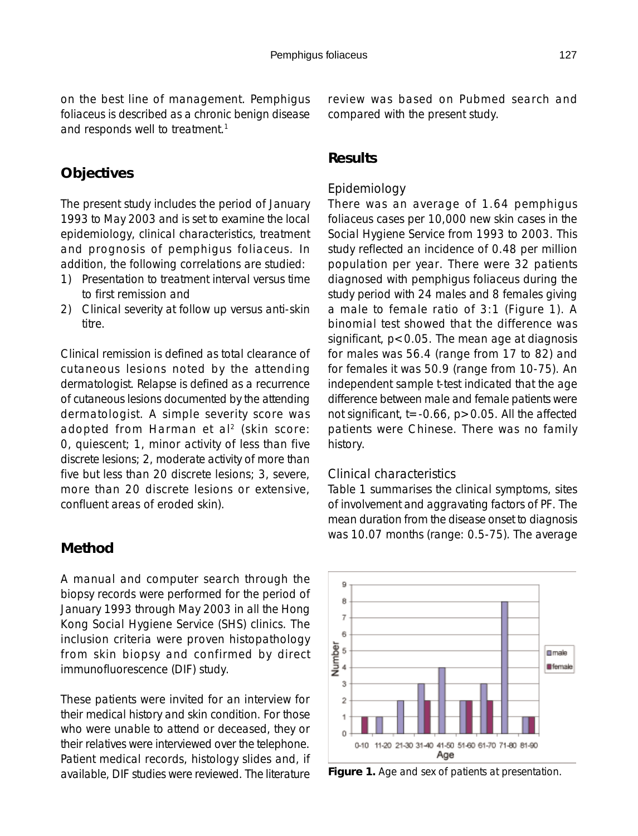on the best line of management. Pemphigus foliaceus is described as a chronic benign disease and responds well to treatment.<sup>1</sup>

# **Objectives**

The present study includes the period of January 1993 to May 2003 and is set to examine the local epidemiology, clinical characteristics, treatment and prognosis of pemphigus foliaceus. In addition, the following correlations are studied:

- 1) Presentation to treatment interval versus time to first remission and
- 2) Clinical severity at follow up versus anti-skin titre.

Clinical remission is defined as total clearance of cutaneous lesions noted by the attending dermatologist. Relapse is defined as a recurrence of cutaneous lesions documented by the attending dermatologist. A simple severity score was adopted from Harman et al<sup>2</sup> (skin score: 0, quiescent; 1, minor activity of less than five discrete lesions; 2, moderate activity of more than five but less than 20 discrete lesions; 3, severe, more than 20 discrete lesions or extensive, confluent areas of eroded skin).

## **Method**

A manual and computer search through the biopsy records were performed for the period of January 1993 through May 2003 in all the Hong Kong Social Hygiene Service (SHS) clinics. The inclusion criteria were proven histopathology from skin biopsy and confirmed by direct immunofluorescence (DIF) study.

These patients were invited for an interview for their medical history and skin condition. For those who were unable to attend or deceased, they or their relatives were interviewed over the telephone. Patient medical records, histology slides and, if available, DIF studies were reviewed. The literature

review was based on Pubmed search and compared with the present study.

## **Results**

## *Epidemiology*

There was an average of 1.64 pemphigus foliaceus cases per 10,000 new skin cases in the Social Hygiene Service from 1993 to 2003. This study reflected an incidence of 0.48 per million population per year. There were 32 patients diagnosed with pemphigus foliaceus during the study period with 24 males and 8 females giving a male to female ratio of 3:1 (Figure 1). A binomial test showed that the difference was significant,  $p < 0.05$ . The mean age at diagnosis for males was 56.4 (range from 17 to 82) and for females it was 50.9 (range from 10-75). An independent sample t-test indicated that the age difference between male and female patients were not significant,  $t = -0.66$ ,  $p > 0.05$ . All the affected patients were Chinese. There was no family history.

### *Clinical characteristics*

Table 1 summarises the clinical symptoms, sites of involvement and aggravating factors of PF. The mean duration from the disease onset to diagnosis was 10.07 months (range: 0.5-75). The average



**Figure 1.** Age and sex of patients at presentation.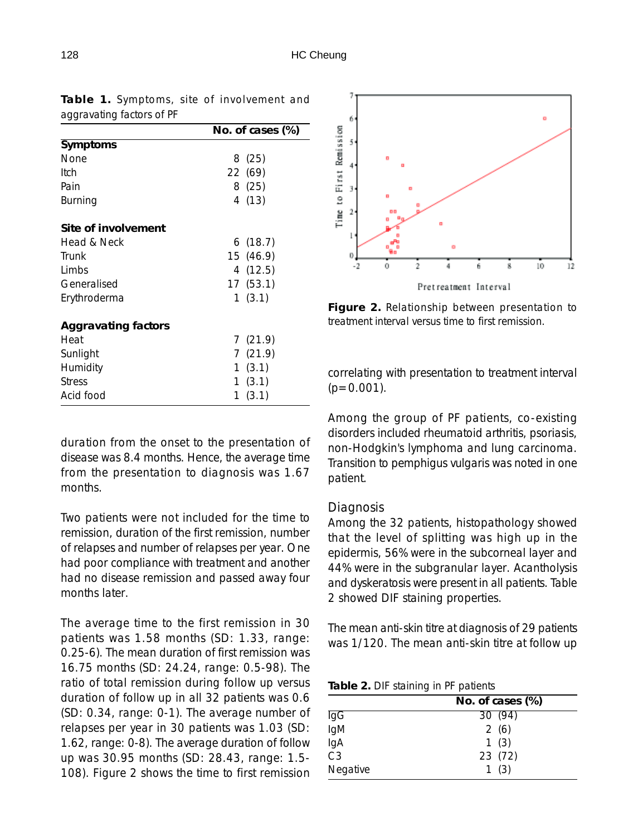|                     | No. of cases (%) |  |
|---------------------|------------------|--|
| Symptoms            |                  |  |
| None                | 8 (25)           |  |
| Itch                | 22 (69)          |  |
| Pain                | 8(25)            |  |
| Burning             | 4 (13)           |  |
| Site of involvement |                  |  |
| Head & Neck         | 6(18.7)          |  |
| Trunk               | 15 (46.9)        |  |
| Limbs               | 4(12.5)          |  |
| Generalised         | 17 (53.1)        |  |
| Erythroderma        | 1(3.1)           |  |
| Aggravating factors |                  |  |
| Heat                | 7(21.9)          |  |
| Sunlight            | 7(21.9)          |  |
| Humidity            | 1(3.1)           |  |
| Stress              | 1(3.1)           |  |
| Acid food           | (3.1)<br>1       |  |

**Table 1.** Symptoms, site of involvement and aggravating factors of PF

duration from the onset to the presentation of disease was 8.4 months. Hence, the average time from the presentation to diagnosis was 1.67 months.

Two patients were not included for the time to remission, duration of the first remission, number of relapses and number of relapses per year. One had poor compliance with treatment and another had no disease remission and passed away four months later.

The average time to the first remission in 30 patients was 1.58 months (SD: 1.33, range: 0.25-6). The mean duration of first remission was 16.75 months (SD: 24.24, range: 0.5-98). The ratio of total remission during follow up versus duration of follow up in all 32 patients was 0.6 (SD: 0.34, range: 0-1). The average number of relapses per year in 30 patients was 1.03 (SD: 1.62, range: 0-8). The average duration of follow up was 30.95 months (SD: 28.43, range: 1.5- 108). Figure 2 shows the time to first remission



**Figure 2.** Relationship between presentation to treatment interval versus time to first remission.

correlating with presentation to treatment interval  $(p=0.001)$ .

Among the group of PF patients, co-existing disorders included rheumatoid arthritis, psoriasis, non-Hodgkin's lymphoma and lung carcinoma. Transition to pemphigus vulgaris was noted in one patient.

#### *Diagnosis*

Among the 32 patients, histopathology showed that the level of splitting was high up in the epidermis, 56% were in the subcorneal layer and 44% were in the subgranular layer. Acantholysis and dyskeratosis were present in all patients. Table 2 showed DIF staining properties.

The mean anti-skin titre at diagnosis of 29 patients was 1/120. The mean anti-skin titre at follow up

**Table 2.** DIF staining in PF patients

|                 | No. of cases (%) |  |  |
|-----------------|------------------|--|--|
| IgG             | 30 (94)          |  |  |
| IgM             | 2(6)             |  |  |
| IgA             | 1(3)             |  |  |
| $\overline{C}3$ | 23 (72)          |  |  |
| Negative        | 1(3)             |  |  |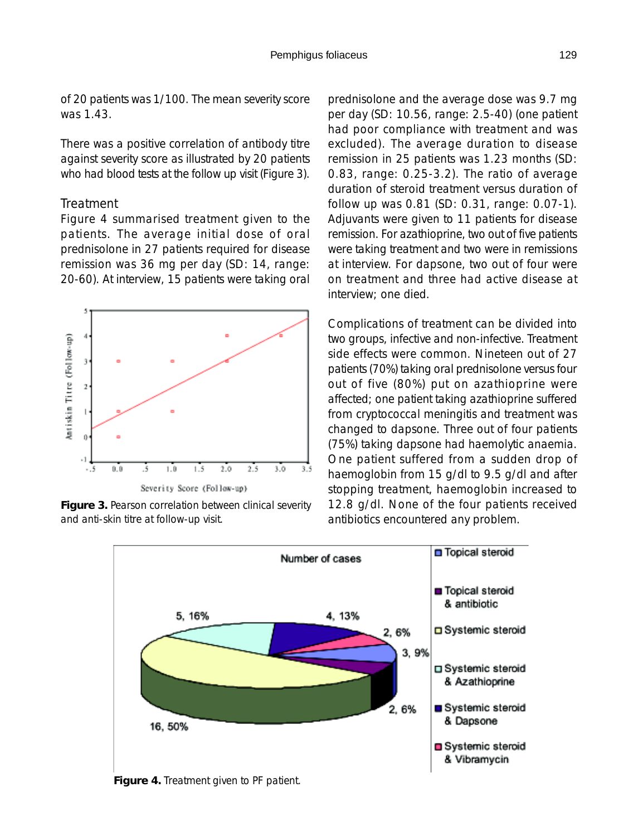of 20 patients was 1/100. The mean severity score was 1.43.

There was a positive correlation of antibody titre against severity score as illustrated by 20 patients who had blood tests at the follow up visit (Figure 3).

#### *Treatment*

Figure 4 summarised treatment given to the patients. The average initial dose of oral prednisolone in 27 patients required for disease remission was 36 mg per day (SD: 14, range: 20-60). At interview, 15 patients were taking oral



**Figure 3.** Pearson correlation between clinical severity and anti-skin titre at follow-up visit.

prednisolone and the average dose was 9.7 mg per day (SD: 10.56, range: 2.5-40) (one patient had poor compliance with treatment and was excluded). The average duration to disease remission in 25 patients was 1.23 months (SD: 0.83, range: 0.25-3.2). The ratio of average duration of steroid treatment versus duration of follow up was 0.81 (SD: 0.31, range: 0.07-1). Adjuvants were given to 11 patients for disease remission. For azathioprine, two out of five patients were taking treatment and two were in remissions at interview. For dapsone, two out of four were on treatment and three had active disease at interview; one died.

Complications of treatment can be divided into two groups, infective and non-infective. Treatment side effects were common. Nineteen out of 27 patients (70%) taking oral prednisolone versus four out of five (80%) put on azathioprine were affected; one patient taking azathioprine suffered from cryptococcal meningitis and treatment was changed to dapsone. Three out of four patients (75%) taking dapsone had haemolytic anaemia. One patient suffered from a sudden drop of haemoglobin from 15 g/dl to 9.5 g/dl and after stopping treatment, haemoglobin increased to 12.8 g/dl. None of the four patients received antibiotics encountered any problem.



**Figure 4.** Treatment given to PF patient.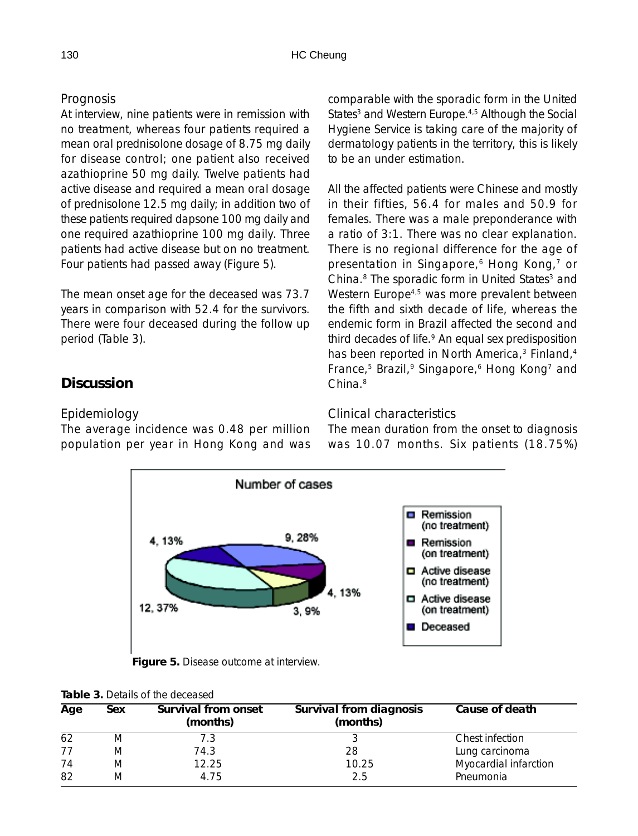## *Prognosis*

At interview, nine patients were in remission with no treatment, whereas four patients required a mean oral prednisolone dosage of 8.75 mg daily for disease control; one patient also received azathioprine 50 mg daily. Twelve patients had active disease and required a mean oral dosage of prednisolone 12.5 mg daily; in addition two of these patients required dapsone 100 mg daily and one required azathioprine 100 mg daily. Three patients had active disease but on no treatment. Four patients had passed away (Figure 5).

The mean onset age for the deceased was 73.7 years in comparison with 52.4 for the survivors. There were four deceased during the follow up period (Table 3).

# **Discussion**

## *Epidemiology*

The average incidence was 0.48 per million population per year in Hong Kong and was comparable with the sporadic form in the United States<sup>3</sup> and Western Europe.<sup>4,5</sup> Although the Social Hygiene Service is taking care of the majority of dermatology patients in the territory, this is likely to be an under estimation.

All the affected patients were Chinese and mostly in their fifties, 56.4 for males and 50.9 for females. There was a male preponderance with a ratio of 3:1. There was no clear explanation. There is no regional difference for the age of presentation in Singapore,<sup>6</sup> Hong Kong,<sup>7</sup> or China.<sup>8</sup> The sporadic form in United States<sup>3</sup> and Western Europe<sup>4,5</sup> was more prevalent between the fifth and sixth decade of life, whereas the endemic form in Brazil affected the second and third decades of life.<sup>9</sup> An equal sex predisposition has been reported in North America,<sup>3</sup> Finland,<sup>4</sup> France,<sup>5</sup> Brazil,<sup>9</sup> Singapore,<sup>6</sup> Hong Kong<sup>7</sup> and China.8

## *Clinical characteristics*

The mean duration from the onset to diagnosis was 10.07 months. Six patients (18.75%)



**Figure 5.** Disease outcome at interview.

| <b>Tapic 9.</b> Dutails of the deceased |     |                                 |                                     |                       |  |
|-----------------------------------------|-----|---------------------------------|-------------------------------------|-----------------------|--|
| Age                                     | Sex | Survival from onset<br>(months) | Survival from diagnosis<br>(months) | Cause of death        |  |
| 62                                      | M   |                                 |                                     | Chest infection       |  |
| 77                                      | M   | 74.3                            | 28                                  | Lung carcinoma        |  |
| 74                                      | M   | 12.25                           | 10.25                               | Myocardial infarction |  |
| 82                                      | M   | 4.75                            | 2.5                                 | Pneumonia             |  |

| Table 3. Details of the deceased |
|----------------------------------|
|                                  |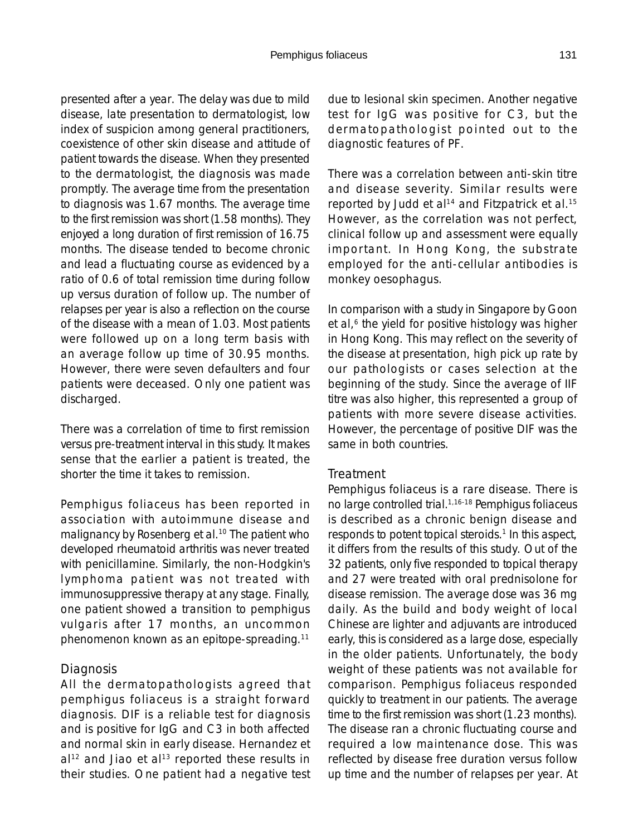presented after a year. The delay was due to mild disease, late presentation to dermatologist, low index of suspicion among general practitioners, coexistence of other skin disease and attitude of patient towards the disease. When they presented to the dermatologist, the diagnosis was made promptly. The average time from the presentation to diagnosis was 1.67 months. The average time to the first remission was short (1.58 months). They enjoyed a long duration of first remission of 16.75 months. The disease tended to become chronic and lead a fluctuating course as evidenced by a ratio of 0.6 of total remission time during follow up versus duration of follow up. The number of relapses per year is also a reflection on the course of the disease with a mean of 1.03. Most patients were followed up on a long term basis with an average follow up time of 30.95 months. However, there were seven defaulters and four patients were deceased. Only one patient was discharged.

There was a correlation of time to first remission versus pre-treatment interval in this study. It makes sense that the earlier a patient is treated, the shorter the time it takes to remission.

Pemphigus foliaceus has been reported in association with autoimmune disease and malignancy by Rosenberg et al.<sup>10</sup> The patient who developed rheumatoid arthritis was never treated with penicillamine. Similarly, the non-Hodgkin's lymphoma patient was not treated with immunosuppressive therapy at any stage. Finally, one patient showed a transition to pemphigus vulgaris after 17 months, an uncommon phenomenon known as an epitope-spreading.11

#### *Diagnosis*

All the dermatopathologists agreed that pemphigus foliaceus is a straight forward diagnosis. DIF is a reliable test for diagnosis and is positive for IgG and C3 in both affected and normal skin in early disease. Hernandez et  $al<sup>12</sup>$  and Jiao et al<sup>13</sup> reported these results in their studies. One patient had a negative test due to lesional skin specimen. Another negative test for IgG was positive for C3, but the dermatopathologist pointed out to the diagnostic features of PF.

There was a correlation between anti-skin titre and disease severity. Similar results were reported by Judd et al<sup>14</sup> and Fitzpatrick et al.<sup>15</sup> However, as the correlation was not perfect, clinical follow up and assessment were equally important. In Hong Kong, the substrate employed for the anti-cellular antibodies is monkey oesophagus.

In comparison with a study in Singapore by Goon et al,<sup>6</sup> the yield for positive histology was higher in Hong Kong. This may reflect on the severity of the disease at presentation, high pick up rate by our pathologists or cases selection at the beginning of the study. Since the average of IIF titre was also higher, this represented a group of patients with more severe disease activities. However, the percentage of positive DIF was the same in both countries.

#### *Treatment*

Pemphigus foliaceus is a rare disease. There is no large controlled trial.1,16-18 Pemphigus foliaceus is described as a chronic benign disease and responds to potent topical steroids.<sup>1</sup> In this aspect, it differs from the results of this study. Out of the 32 patients, only five responded to topical therapy and 27 were treated with oral prednisolone for disease remission. The average dose was 36 mg daily. As the build and body weight of local Chinese are lighter and adjuvants are introduced early, this is considered as a large dose, especially in the older patients. Unfortunately, the body weight of these patients was not available for comparison. Pemphigus foliaceus responded quickly to treatment in our patients. The average time to the first remission was short (1.23 months). The disease ran a chronic fluctuating course and required a low maintenance dose. This was reflected by disease free duration versus follow up time and the number of relapses per year. At